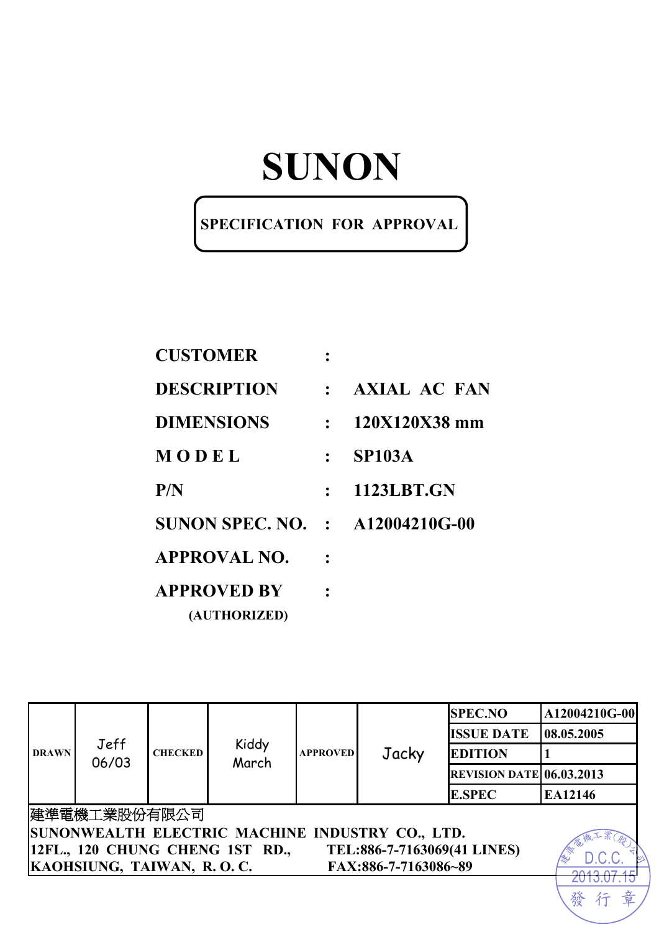#### **SPECIFICATION FOR APPROVAL**

| <b>CUSTOMER</b>                        |              |                   |
|----------------------------------------|--------------|-------------------|
| <b>DESCRIPTION</b>                     |              | : AXIAL AC FAN    |
| <b>DIMENSIONS</b>                      | $\mathbf{L}$ | 120X120X38 mm     |
| MODEL                                  |              | <b>SP103A</b>     |
| P/N                                    | $\mathbf{L}$ | <b>1123LBT.GN</b> |
| <b>SUNON SPEC. NO. : A12004210G-00</b> |              |                   |
| <b>APPROVAL NO.</b>                    |              |                   |
| <b>APPROVED BY</b>                     |              |                   |
| (AUTHORIZED)                           |              |                   |

| <b>DRAWN</b> | Jeff<br>06/03                                     |                |                                 |                 | Jacky                       | <b>SPEC.NO</b>                  | A12004210G-00 |  |
|--------------|---------------------------------------------------|----------------|---------------------------------|-----------------|-----------------------------|---------------------------------|---------------|--|
|              |                                                   |                |                                 |                 |                             | <b>ISSUE DATE</b>               | 08.05.2005    |  |
|              |                                                   | <b>CHECKED</b> | Kiddy<br>March                  | <b>APPROVED</b> |                             | <b>EDITION</b>                  |               |  |
|              |                                                   |                |                                 |                 |                             | <b>REVISION DATE 06.03.2013</b> |               |  |
|              |                                                   |                |                                 |                 |                             | <b>E.SPEC</b>                   | EA12146       |  |
|              | 建準電機工業股份有限公司                                      |                |                                 |                 |                             |                                 |               |  |
|              | SUNONWEALTH ELECTRIC MACHINE INDUSTRY CO., LTD.   |                |                                 |                 |                             |                                 |               |  |
|              |                                                   |                | 12FL., 120 CHUNG CHENG 1ST RD., |                 | TEL:886-7-7163069(41 LINES) |                                 |               |  |
|              | KAOHSIUNG, TAIWAN, R.O.C.<br>FAX:886-7-7163086~89 |                |                                 |                 |                             |                                 |               |  |
|              |                                                   |                |                                 |                 |                             |                                 |               |  |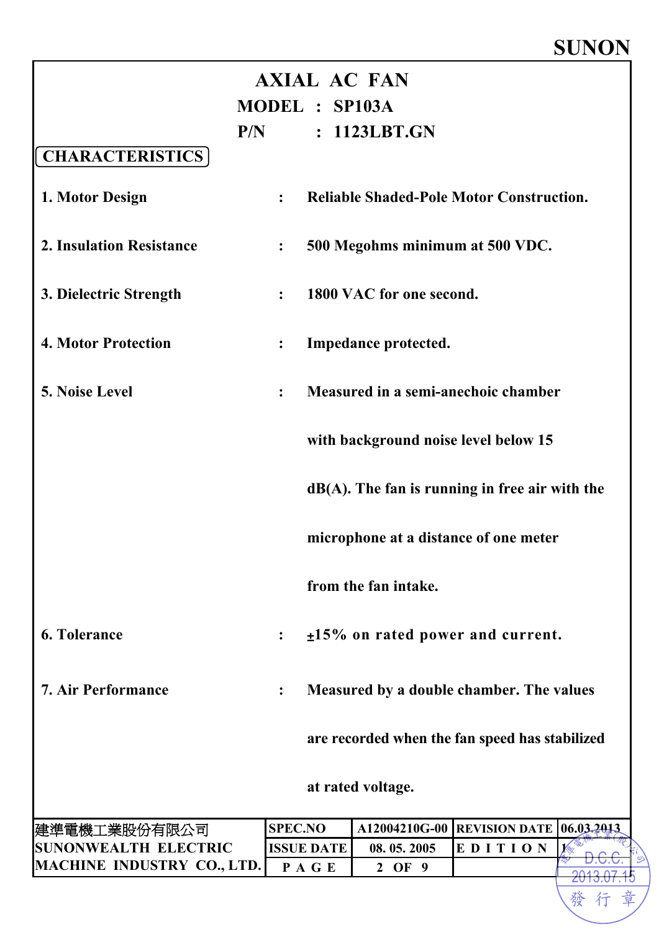|                                   | <b>AXIAL AC FAN</b><br>MODEL : SP103A |                                                   |         |            |
|-----------------------------------|---------------------------------------|---------------------------------------------------|---------|------------|
|                                   | P/N                                   | : 1123LBT.GN                                      |         |            |
| <b>CHARACTERISTICS</b>            |                                       |                                                   |         |            |
| 1. Motor Design                   | $\ddot{\cdot}$                        | <b>Reliable Shaded-Pole Motor Construction.</b>   |         |            |
| <b>2. Insulation Resistance</b>   | $\ddot{\cdot}$                        | 500 Megohms minimum at 500 VDC.                   |         |            |
| 3. Dielectric Strength            | $\ddot{\cdot}$                        | 1800 VAC for one second.                          |         |            |
| <b>4. Motor Protection</b>        | $\ddot{\bullet}$                      | Impedance protected.                              |         |            |
| <b>5. Noise Level</b>             | $\ddot{\phantom{a}}$                  | Measured in a semi-anechoic chamber               |         |            |
|                                   |                                       | with background noise level below 15              |         |            |
|                                   |                                       | $dB(A)$ . The fan is running in free air with the |         |            |
|                                   |                                       | microphone at a distance of one meter             |         |            |
|                                   |                                       | from the fan intake.                              |         |            |
| <b>6. Tolerance</b>               |                                       | $\pm$ 15% on rated power and current.             |         |            |
| <b>7. Air Performance</b>         |                                       | Measured by a double chamber. The values          |         |            |
|                                   |                                       | are recorded when the fan speed has stabilized    |         |            |
|                                   |                                       | at rated voltage.                                 |         |            |
| 建準電機工業股份有限公司                      | <b>SPEC.NO</b>                        | A12004210G-00 REVISION DATE                       |         | 06.03.2013 |
| <b>SUNONWEALTH ELECTRIC</b>       | <b>ISSUE DATE</b>                     | 08.05.2005                                        | EDITION |            |
| <b>MACHINE INDUSTRY CO., LTD.</b> | PAGE                                  | 2 OF 9                                            |         |            |

行 發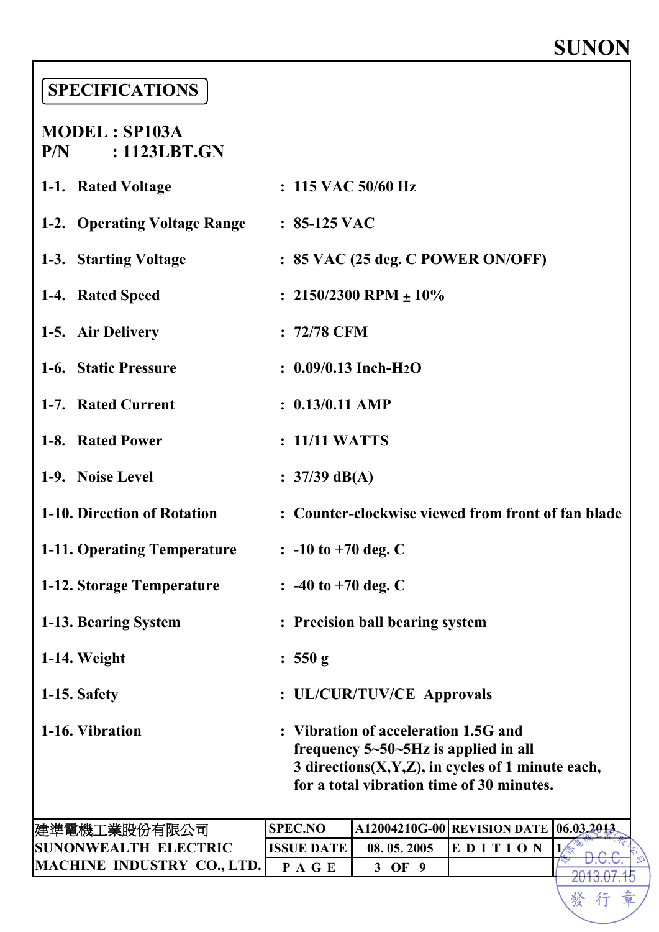發行章

### **SPECIFICATIONS**

#### **MODEL : SP103A P/N : 1123LBT.GN**

| 1-1. Rated Voltage                        | $: 115$ VAC 50/60 Hz                                                                                                                                                                       |
|-------------------------------------------|--------------------------------------------------------------------------------------------------------------------------------------------------------------------------------------------|
| 1-2. Operating Voltage Range : 85-125 VAC |                                                                                                                                                                                            |
| 1-3. Starting Voltage                     | : 85 VAC (25 deg. C POWER ON/OFF)                                                                                                                                                          |
| 1-4. Rated Speed                          | : $2150/2300$ RPM $\pm 10\%$                                                                                                                                                               |
| 1-5. Air Delivery                         | $: 72/78$ CFM                                                                                                                                                                              |
| 1-6. Static Pressure                      | $: 0.09/0.13$ Inch-H <sub>2</sub> O                                                                                                                                                        |
| 1-7. Rated Current                        | $: 0.13/0.11$ AMP                                                                                                                                                                          |
| 1-8. Rated Power                          | : 11/11 WATTS                                                                                                                                                                              |
| 1-9. Noise Level                          | : $37/39$ dB(A)                                                                                                                                                                            |
| 1-10. Direction of Rotation               | : Counter-clockwise viewed from front of fan blade                                                                                                                                         |
| <b>1-11. Operating Temperature</b>        | $\therefore$ -10 to +70 deg. C                                                                                                                                                             |
| 1-12. Storage Temperature                 | $\therefore$ -40 to +70 deg. C                                                                                                                                                             |
| 1-13. Bearing System                      | : Precision ball bearing system                                                                                                                                                            |
| $1-14.$ Weight                            | : 550 g                                                                                                                                                                                    |
| 1-15. Safety                              | : UL/CUR/TUV/CE Approvals                                                                                                                                                                  |
| 1-16. Vibration                           | : Vibration of acceleration 1.5G and<br>frequency $5 - 50 - 5$ Hz is applied in all<br>3 directions $(X, Y, Z)$ , in cycles of 1 minute each,<br>for a total vibration time of 30 minutes. |
| 建準電機工業股份有限公司                              | A12004210G-00 REVISION DATE 06.03.2013<br><b>SPEC.NO</b>                                                                                                                                   |

| 建準電機工業股份有限公司                | <b>SPEC.NO</b> |            | A12004210G-00 REVISION DATE  06.03.2013. |  |
|-----------------------------|----------------|------------|------------------------------------------|--|
| <b>SUNONWEALTH ELECTRIC</b> | IISSUE DATE    | 08.05.2005 | <b>IEDITIO</b>                           |  |
| MACHINE INDUSTRY CO., LTD.  |                | OF         |                                          |  |
|                             |                |            |                                          |  |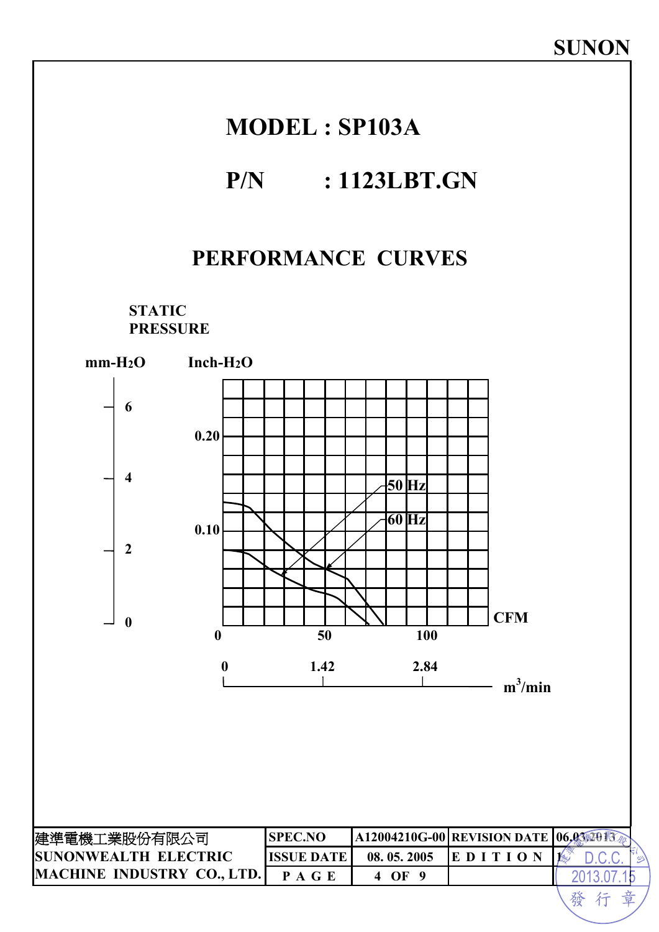## **MODEL : SP103A**

## **P/N : 1123LBT.GN**

#### **PERFORMANCE CURVES**

**STATIC PRESSURE** 

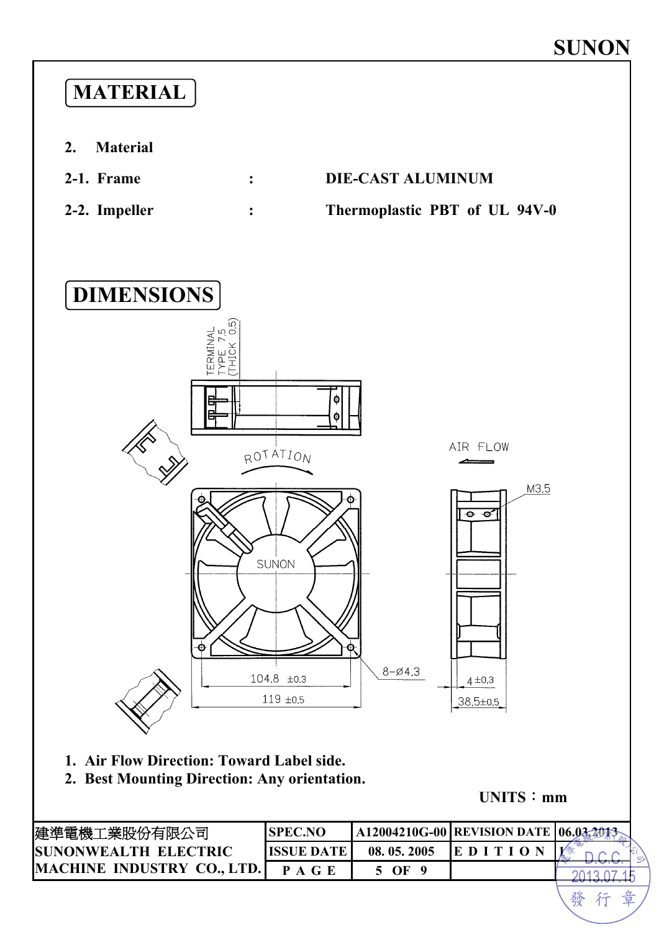

**UNITS**:**mm**

發行章

| 建準電機工業股份有限公司                | <b>SPEC.NO</b>     |            | A12004210G-00   REVISION DATE   06.03.2013 |  |
|-----------------------------|--------------------|------------|--------------------------------------------|--|
| <b>SUNONWEALTH ELECTRIC</b> | <b>IISSUE DATE</b> | 08.05.2005 | <b>EDITI</b>                               |  |
| MACHINE INDUSTRY CO., LTD.  | P A G E            | 5 OF       |                                            |  |
|                             |                    |            |                                            |  |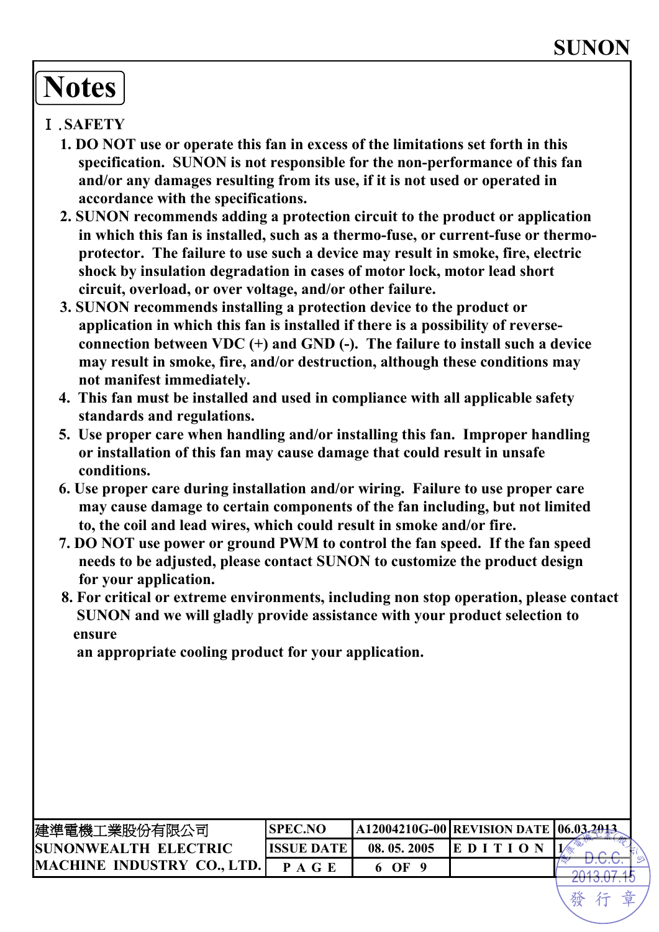# **Notes**

#### Ⅰ.**SAFETY**

- **1. DO NOT use or operate this fan in excess of the limitations set forth in this specification. SUNON is not responsible for the non-performance of this fan and/or any damages resulting from its use, if it is not used or operated in accordance with the specifications.**
- **2. SUNON recommends adding a protection circuit to the product or application in which this fan is installed, such as a thermo-fuse, or current-fuse or thermoprotector. The failure to use such a device may result in smoke, fire, electric shock by insulation degradation in cases of motor lock, motor lead short circuit, overload, or over voltage, and/or other failure.**
- **3. SUNON recommends installing a protection device to the product or application in which this fan is installed if there is a possibility of reverseconnection between VDC (+) and GND (-). The failure to install such a device may result in smoke, fire, and/or destruction, although these conditions may not manifest immediately.**
- **4. This fan must be installed and used in compliance with all applicable safety standards and regulations.**
- **5. Use proper care when handling and/or installing this fan. Improper handling or installation of this fan may cause damage that could result in unsafe conditions.**
- **6. Use proper care during installation and/or wiring. Failure to use proper care may cause damage to certain components of the fan including, but not limited to, the coil and lead wires, which could result in smoke and/or fire.**
- **7. DO NOT use power or ground PWM to control the fan speed. If the fan speed needs to be adjusted, please contact SUNON to customize the product design for your application.**
- **8. For critical or extreme environments, including non stop operation, please contact SUNON and we will gladly provide assistance with your product selection to ensure**

 **an appropriate cooling product for your application.** 

| 建準電機工業股份有限公司                 | <b>ISPEC.NO</b> |            | A12004210G-00   REVISION DATE   06.03.2013. |  |
|------------------------------|-----------------|------------|---------------------------------------------|--|
| <b>ISUNONWEALTH ELECTRIC</b> | IISSUE DATE     | 08.05.2005 | <b>IEDITI</b>                               |  |
| MACHINE INDUSTRY CO., LTD.   | <b>PAGE</b>     | OF         |                                             |  |
|                              |                 |            |                                             |  |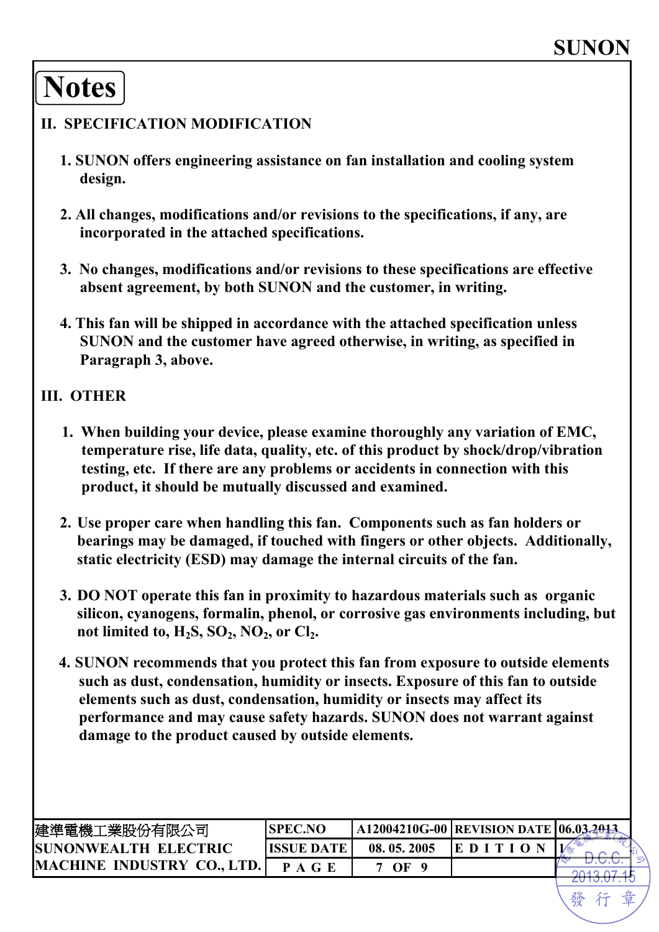## **Notes**

#### **II. SPECIFICATION MODIFICATION**

- **1. SUNON offers engineering assistance on fan installation and cooling system design.**
- **2. All changes, modifications and/or revisions to the specifications, if any, are incorporated in the attached specifications.**
- **3. No changes, modifications and/or revisions to these specifications are effective absent agreement, by both SUNON and the customer, in writing.**
- **4. This fan will be shipped in accordance with the attached specification unless SUNON and the customer have agreed otherwise, in writing, as specified in Paragraph 3, above.**

#### **III. OTHER**

- **1. When building your device, please examine thoroughly any variation of EMC, temperature rise, life data, quality, etc. of this product by shock/drop/vibration testing, etc. If there are any problems or accidents in connection with this product, it should be mutually discussed and examined.**
- **2. Use proper care when handling this fan. Components such as fan holders or bearings may be damaged, if touched with fingers or other objects. Additionally, static electricity (ESD) may damage the internal circuits of the fan.**
- **3. DO NOT operate this fan in proximity to hazardous materials such as organic silicon, cyanogens, formalin, phenol, or corrosive gas environments including, but**  not limited to,  $H_2S$ ,  $SO_2$ ,  $NO_2$ , or  $Cl_2$ .
- **4. SUNON recommends that you protect this fan from exposure to outside elements such as dust, condensation, humidity or insects. Exposure of this fan to outside elements such as dust, condensation, humidity or insects may affect its performance and may cause safety hazards. SUNON does not warrant against damage to the product caused by outside elements.**

| 建準電機工業股份有限公司                      | <b>SPEC.NO</b>     |            | A12004210G-00   REVISION DATE   06.03.2013 |  |
|-----------------------------------|--------------------|------------|--------------------------------------------|--|
| <b>SUNONWEALTH ELECTRIC</b>       | <b>IISSUE DATE</b> | 08.05.2005 | $E$ D I T I O                              |  |
| <b>MACHINE INDUSTRY CO., LTD.</b> | P A G E            | $\Omega$   |                                            |  |
|                                   |                    |            |                                            |  |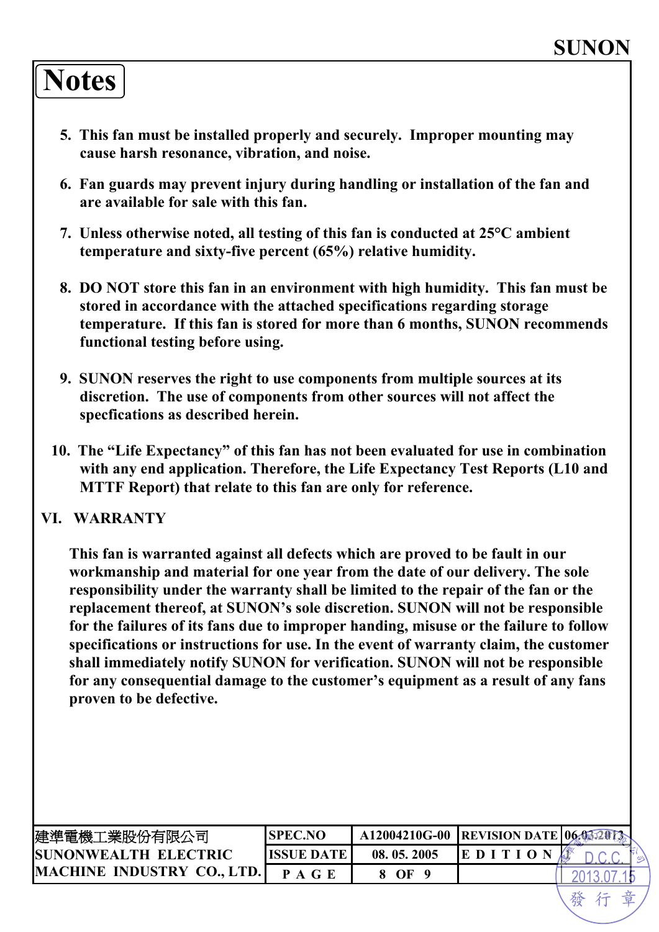## **Notes**

- **5. This fan must be installed properly and securely. Improper mounting may cause harsh resonance, vibration, and noise.**
- **6. Fan guards may prevent injury during handling or installation of the fan and are available for sale with this fan.**
- **7. Unless otherwise noted, all testing of this fan is conducted at 25°C ambient temperature and sixty-five percent (65%) relative humidity.**
- **8. DO NOT store this fan in an environment with high humidity. This fan must be stored in accordance with the attached specifications regarding storage temperature. If this fan is stored for more than 6 months, SUNON recommends functional testing before using.**
- **9. SUNON reserves the right to use components from multiple sources at its discretion. The use of components from other sources will not affect the specfications as described herein.**
- **10. The "Life Expectancy" of this fan has not been evaluated for use in combination with any end application. Therefore, the Life Expectancy Test Reports (L10 and MTTF Report) that relate to this fan are only for reference.**

#### **VI. WARRANTY**

**This fan is warranted against all defects which are proved to be fault in our workmanship and material for one year from the date of our delivery. The sole responsibility under the warranty shall be limited to the repair of the fan or the replacement thereof, at SUNON's sole discretion. SUNON will not be responsible for the failures of its fans due to improper handing, misuse or the failure to follow specifications or instructions for use. In the event of warranty claim, the customer shall immediately notify SUNON for verification. SUNON will not be responsible for any consequential damage to the customer's equipment as a result of any fans proven to be defective.**

| 建準電機工業股份有限公司                      | SPEC.NO    |            | A12004210G-00 REVISION DATE 06.03.2012 |  |
|-----------------------------------|------------|------------|----------------------------------------|--|
| <b>ISUNONWEALTH ELECTRIC</b>      | ISSUE DATE | 08.05.2005 | E D I                                  |  |
| <b>MACHINE INDUSTRY CO., LTD.</b> | PAGE       | 8 OF       |                                        |  |